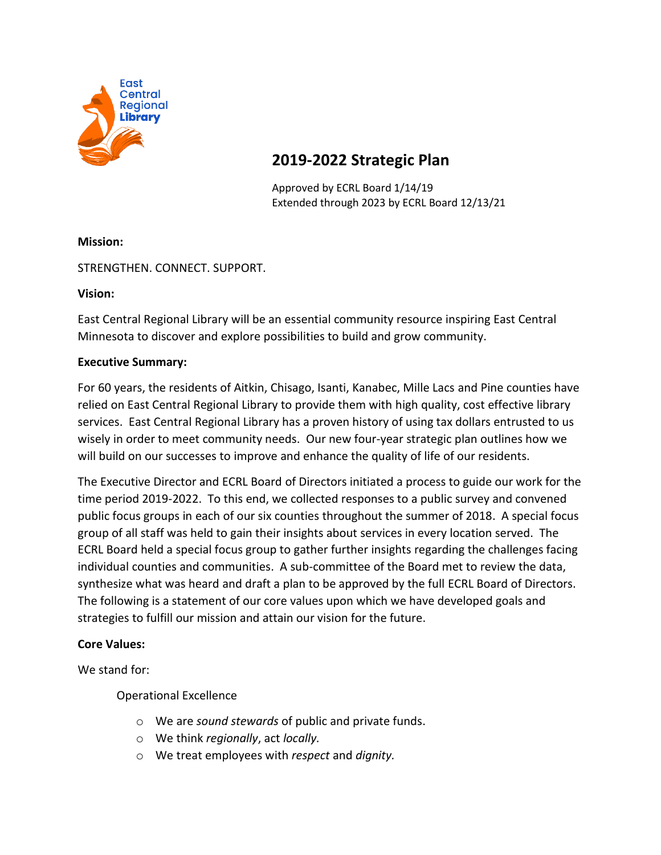

# **2019-2022 Strategic Plan**

Approved by ECRL Board 1/14/19 Extended through 2023 by ECRL Board 12/13/21

# **Mission:**

STRENGTHEN. CONNECT. SUPPORT.

**Vision:**

East Central Regional Library will be an essential community resource inspiring East Central Minnesota to discover and explore possibilities to build and grow community.

## **Executive Summary:**

For 60 years, the residents of Aitkin, Chisago, Isanti, Kanabec, Mille Lacs and Pine counties have relied on East Central Regional Library to provide them with high quality, cost effective library services. East Central Regional Library has a proven history of using tax dollars entrusted to us wisely in order to meet community needs. Our new four-year strategic plan outlines how we will build on our successes to improve and enhance the quality of life of our residents.

The Executive Director and ECRL Board of Directors initiated a process to guide our work for the time period 2019-2022. To this end, we collected responses to a public survey and convened public focus groups in each of our six counties throughout the summer of 2018. A special focus group of all staff was held to gain their insights about services in every location served. The ECRL Board held a special focus group to gather further insights regarding the challenges facing individual counties and communities. A sub-committee of the Board met to review the data, synthesize what was heard and draft a plan to be approved by the full ECRL Board of Directors. The following is a statement of our core values upon which we have developed goals and strategies to fulfill our mission and attain our vision for the future.

## **Core Values:**

We stand for:

Operational Excellence

- o We are *sound stewards* of public and private funds.
- o We think *regionally*, act *locally.*
- o We treat employees with *respect* and *dignity.*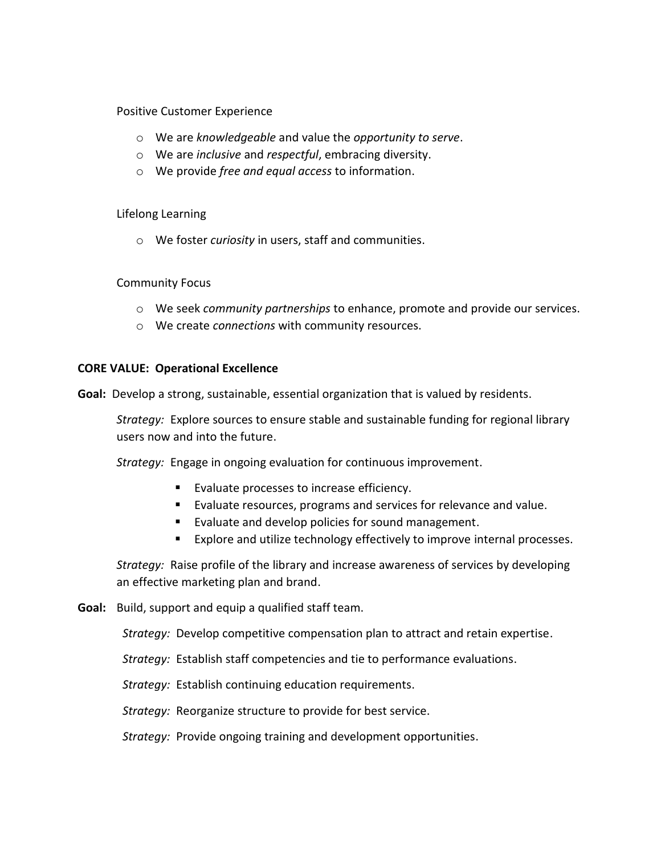#### Positive Customer Experience

- o We are *knowledgeable* and value the *opportunity to serve*.
- o We are *inclusive* and *respectful*, embracing diversity.
- o We provide *free and equal access* to information.

#### Lifelong Learning

o We foster *curiosity* in users, staff and communities.

## Community Focus

- o We seek *community partnerships* to enhance, promote and provide our services.
- o We create *connections* with community resources.

#### **CORE VALUE: Operational Excellence**

**Goal:** Develop a strong, sustainable, essential organization that is valued by residents.

*Strategy:* Explore sources to ensure stable and sustainable funding for regional library users now and into the future.

*Strategy:* Engage in ongoing evaluation for continuous improvement.

- Evaluate processes to increase efficiency.
- Evaluate resources, programs and services for relevance and value.
- Evaluate and develop policies for sound management.
- Explore and utilize technology effectively to improve internal processes.

*Strategy:* Raise profile of the library and increase awareness of services by developing an effective marketing plan and brand.

**Goal:** Build, support and equip a qualified staff team.

*Strategy:* Develop competitive compensation plan to attract and retain expertise.

 *Strategy:* Establish staff competencies and tie to performance evaluations.

 *Strategy:* Establish continuing education requirements.

 *Strategy:* Reorganize structure to provide for best service.

 *Strategy:* Provide ongoing training and development opportunities.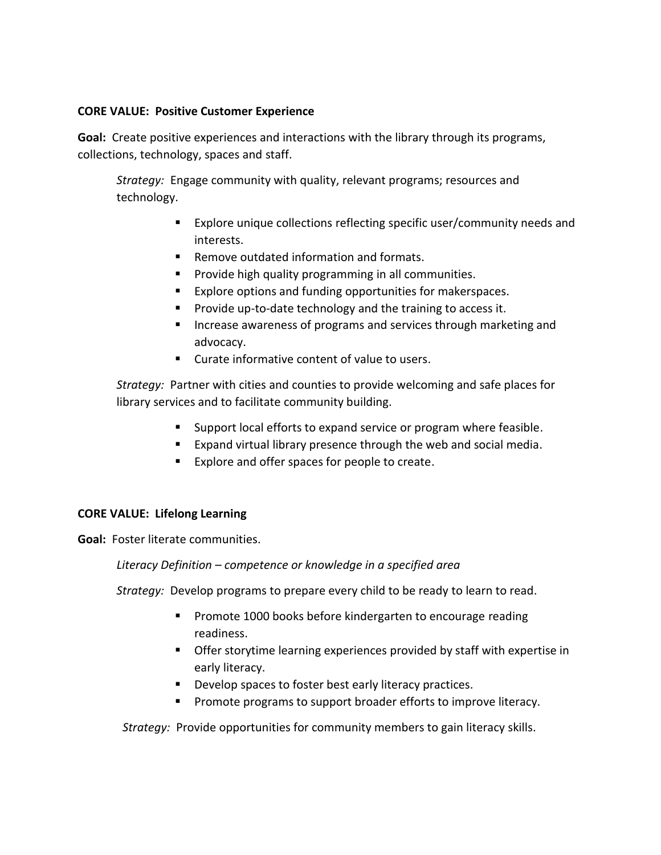### **CORE VALUE: Positive Customer Experience**

**Goal:** Create positive experiences and interactions with the library through its programs, collections, technology, spaces and staff.

*Strategy:* Engage community with quality, relevant programs; resources and technology.

- Explore unique collections reflecting specific user/community needs and interests.
- Remove outdated information and formats.
- Provide high quality programming in all communities.
- Explore options and funding opportunities for makerspaces.
- Provide up-to-date technology and the training to access it.
- Increase awareness of programs and services through marketing and advocacy.
- Curate informative content of value to users.

*Strategy:* Partner with cities and counties to provide welcoming and safe places for library services and to facilitate community building.

- Support local efforts to expand service or program where feasible.
- Expand virtual library presence through the web and social media.
- Explore and offer spaces for people to create.

## **CORE VALUE: Lifelong Learning**

**Goal:** Foster literate communities.

## *Literacy Definition – competence or knowledge in a specified area*

*Strategy:* Develop programs to prepare every child to be ready to learn to read.

- Promote 1000 books before kindergarten to encourage reading readiness.
- Offer storytime learning experiences provided by staff with expertise in early literacy.
- Develop spaces to foster best early literacy practices.
- Promote programs to support broader efforts to improve literacy.

 *Strategy:* Provide opportunities for community members to gain literacy skills.